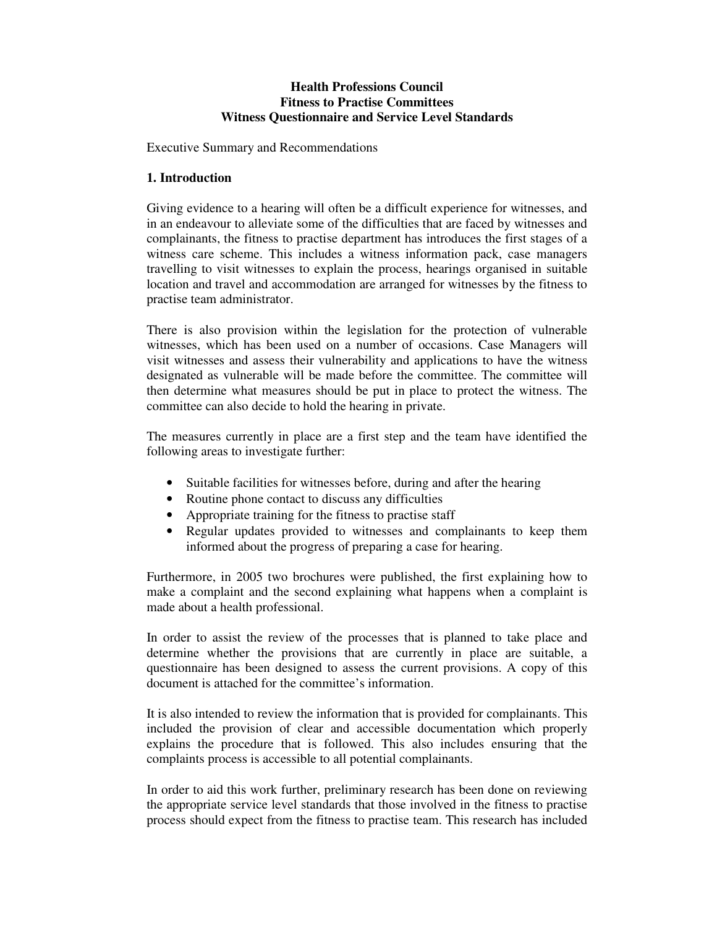### **Health Professions Council Fitness to Practise Committees Witness Questionnaire and Service Level Standards**

Executive Summary and Recommendations

## **1. Introduction**

Giving evidence to a hearing will often be a difficult experience for witnesses, and in an endeavour to alleviate some of the difficulties that are faced by witnesses and complainants, the fitness to practise department has introduces the first stages of a witness care scheme. This includes a witness information pack, case managers travelling to visit witnesses to explain the process, hearings organised in suitable location and travel and accommodation are arranged for witnesses by the fitness to practise team administrator.

There is also provision within the legislation for the protection of vulnerable witnesses, which has been used on a number of occasions. Case Managers will visit witnesses and assess their vulnerability and applications to have the witness designated as vulnerable will be made before the committee. The committee will then determine what measures should be put in place to protect the witness. The committee can also decide to hold the hearing in private.

The measures currently in place are a first step and the team have identified the following areas to investigate further:

- Suitable facilities for witnesses before, during and after the hearing
- Routine phone contact to discuss any difficulties
- Appropriate training for the fitness to practise staff
- Regular updates provided to witnesses and complainants to keep them informed about the progress of preparing a case for hearing.

Furthermore, in 2005 two brochures were published, the first explaining how to make a complaint and the second explaining what happens when a complaint is made about a health professional.

In order to assist the review of the processes that is planned to take place and determine whether the provisions that are currently in place are suitable, a questionnaire has been designed to assess the current provisions. A copy of this document is attached for the committee's information.

It is also intended to review the information that is provided for complainants. This included the provision of clear and accessible documentation which properly explains the procedure that is followed. This also includes ensuring that the complaints process is accessible to all potential complainants.

In order to aid this work further, preliminary research has been done on reviewing the appropriate service level standards that those involved in the fitness to practise process should expect from the fitness to practise team. This research has included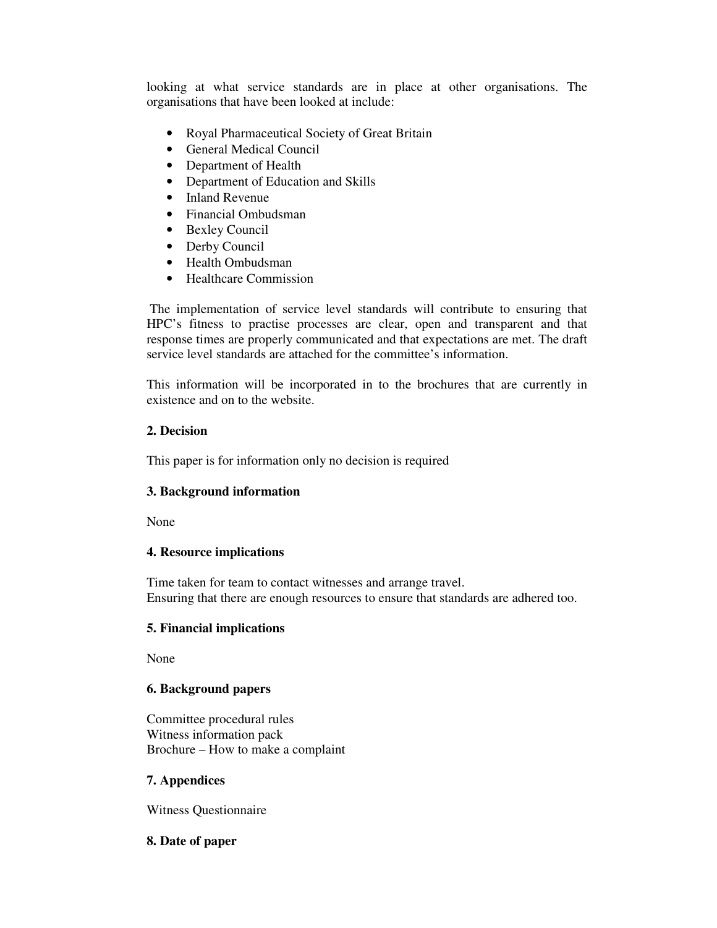looking at what service standards are in place at other organisations. The organisations that have been looked at include:

- Royal Pharmaceutical Society of Great Britain
- General Medical Council
- Department of Health
- Department of Education and Skills
- Inland Revenue
- Financial Ombudsman
- Bexley Council
- Derby Council
- Health Ombudsman
- Healthcare Commission

 The implementation of service level standards will contribute to ensuring that HPC's fitness to practise processes are clear, open and transparent and that response times are properly communicated and that expectations are met. The draft service level standards are attached for the committee's information.

This information will be incorporated in to the brochures that are currently in existence and on to the website.

# **2. Decision**

This paper is for information only no decision is required

## **3. Background information**

None

## **4. Resource implications**

Time taken for team to contact witnesses and arrange travel. Ensuring that there are enough resources to ensure that standards are adhered too.

## **5. Financial implications**

None

# **6. Background papers**

Committee procedural rules Witness information pack Brochure – How to make a complaint

## **7. Appendices**

Witness Questionnaire

## **8. Date of paper**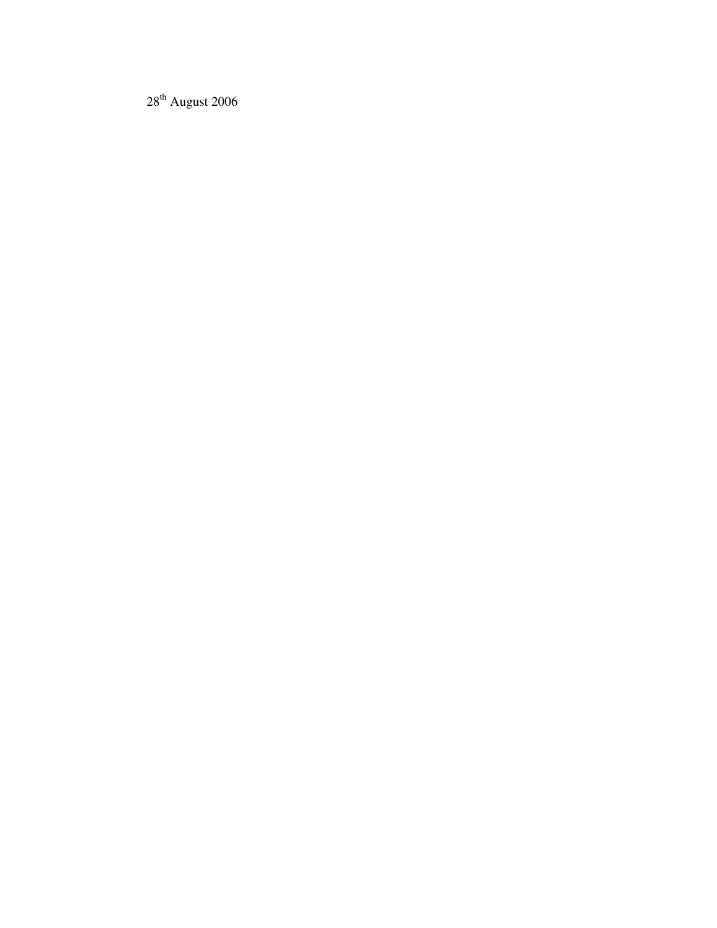$28<sup>th</sup>$  August 2006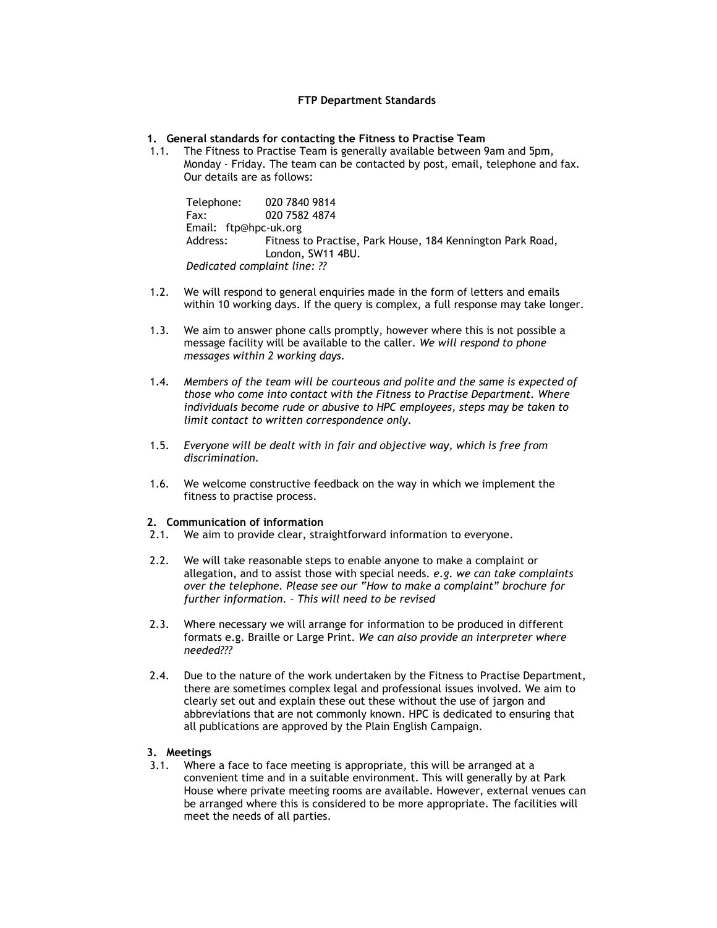#### FTP Department Standards

1. General standards for contacting the Fitness to Practise Team

1.1. The Fitness to Practise Team is generally available between 9am and 5pm, Monday - Friday. The team can be contacted by post, email, telephone and fax. Our details are as follows:

Telephone: 020 7840 9814 Fax: 020 7582 4874 Email: ftp@hpc-uk.org Address: Fitness to Practise, Park House, 184 Kennington Park Road, London, SW11 4BU. Dedicated complaint line: ??

- 1.2. We will respond to general enquiries made in the form of letters and emails within 10 working days. If the query is complex, a full response may take longer.
- 1.3. We aim to answer phone calls promptly, however where this is not possible a message facility will be available to the caller. We will respond to phone messages within 2 working days.
- 1.4. Members of the team will be courteous and polite and the same is expected of those who come into contact with the Fitness to Practise Department. Where individuals become rude or abusive to HPC employees, steps may be taken to limit contact to written correspondence only.
- 1.5. Everyone will be dealt with in fair and objective way, which is free from discrimination.
- 1.6. We welcome constructive feedback on the way in which we implement the fitness to practise process.

#### 2. Communication of information

- 2.1. We aim to provide clear, straightforward information to everyone.
- 2.2. We will take reasonable steps to enable anyone to make a complaint or allegation, and to assist those with special needs. e.g. we can take complaints over the telephone. Please see our "How to make a complaint" brochure for further information. – This will need to be revised
- 2.3. Where necessary we will arrange for information to be produced in different formats e.g. Braille or Large Print. We can also provide an interpreter where needed???
- 2.4. Due to the nature of the work undertaken by the Fitness to Practise Department, there are sometimes complex legal and professional issues involved. We aim to clearly set out and explain these out these without the use of jargon and abbreviations that are not commonly known. HPC is dedicated to ensuring that all publications are approved by the Plain English Campaign.

### 3. Meetings

3.1. Where a face to face meeting is appropriate, this will be arranged at a convenient time and in a suitable environment. This will generally by at Park House where private meeting rooms are available. However, external venues can be arranged where this is considered to be more appropriate. The facilities will meet the needs of all parties.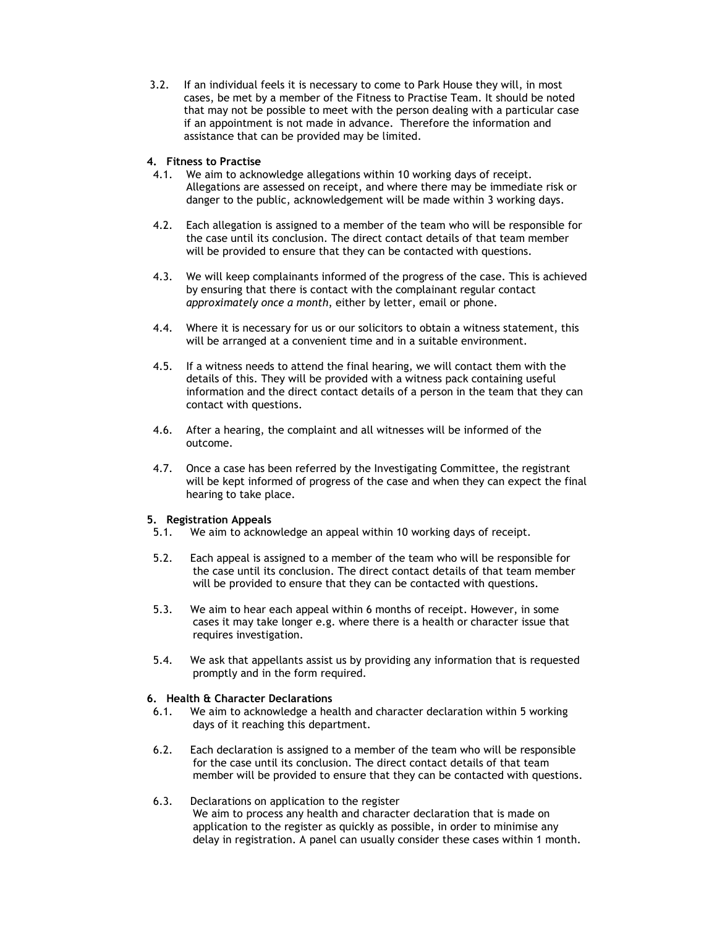3.2. If an individual feels it is necessary to come to Park House they will, in most cases, be met by a member of the Fitness to Practise Team. It should be noted that may not be possible to meet with the person dealing with a particular case if an appointment is not made in advance. Therefore the information and assistance that can be provided may be limited.

### 4. Fitness to Practise

- 4.1. We aim to acknowledge allegations within 10 working days of receipt. Allegations are assessed on receipt, and where there may be immediate risk or danger to the public, acknowledgement will be made within 3 working days.
- 4.2. Each allegation is assigned to a member of the team who will be responsible for the case until its conclusion. The direct contact details of that team member will be provided to ensure that they can be contacted with questions.
- 4.3. We will keep complainants informed of the progress of the case. This is achieved by ensuring that there is contact with the complainant regular contact approximately once a month, either by letter, email or phone.
- 4.4. Where it is necessary for us or our solicitors to obtain a witness statement, this will be arranged at a convenient time and in a suitable environment.
- 4.5. If a witness needs to attend the final hearing, we will contact them with the details of this. They will be provided with a witness pack containing useful information and the direct contact details of a person in the team that they can contact with questions.
- 4.6. After a hearing, the complaint and all witnesses will be informed of the outcome.
- 4.7. Once a case has been referred by the Investigating Committee, the registrant will be kept informed of progress of the case and when they can expect the final hearing to take place.

### 5. Registration Appeals

- 5.1. We aim to acknowledge an appeal within 10 working days of receipt.
- 5.2. Each appeal is assigned to a member of the team who will be responsible for the case until its conclusion. The direct contact details of that team member will be provided to ensure that they can be contacted with questions.
- 5.3. We aim to hear each appeal within 6 months of receipt. However, in some cases it may take longer e.g. where there is a health or character issue that requires investigation.
- 5.4. We ask that appellants assist us by providing any information that is requested promptly and in the form required.

#### 6. Health & Character Declarations

- 6.1. We aim to acknowledge a health and character declaration within 5 working days of it reaching this department.
- 6.2. Each declaration is assigned to a member of the team who will be responsible for the case until its conclusion. The direct contact details of that team member will be provided to ensure that they can be contacted with questions.
- 6.3. Declarations on application to the register We aim to process any health and character declaration that is made on application to the register as quickly as possible, in order to minimise any delay in registration. A panel can usually consider these cases within 1 month.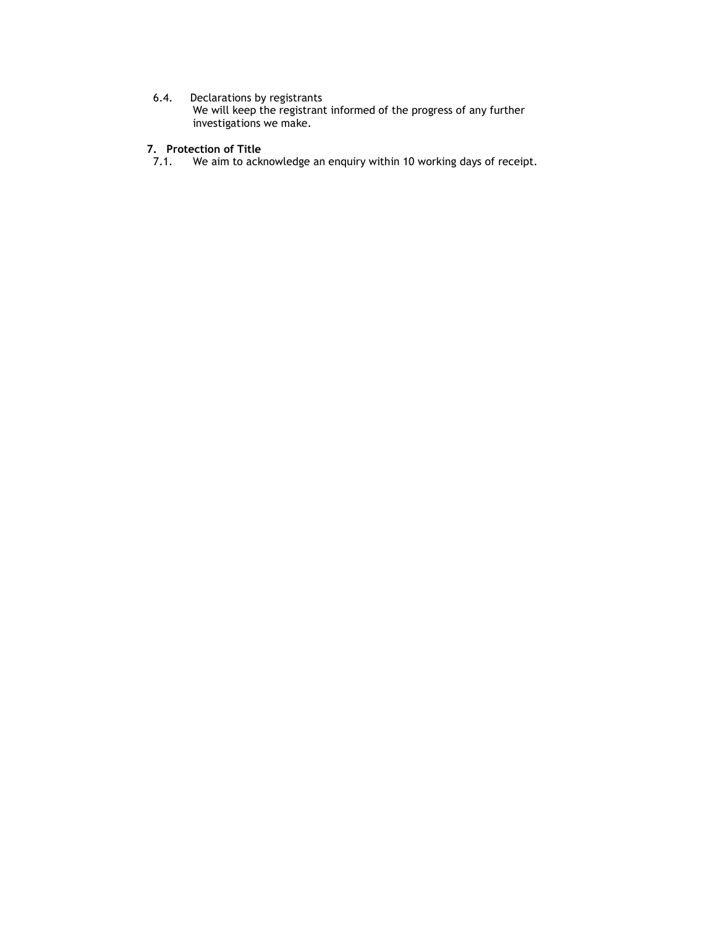### 6.4. Declarations by registrants

We will keep the registrant informed of the progress of any further investigations we make.

#### 7. Protection of Title

7.1. We aim to acknowledge an enquiry within 10 working days of receipt.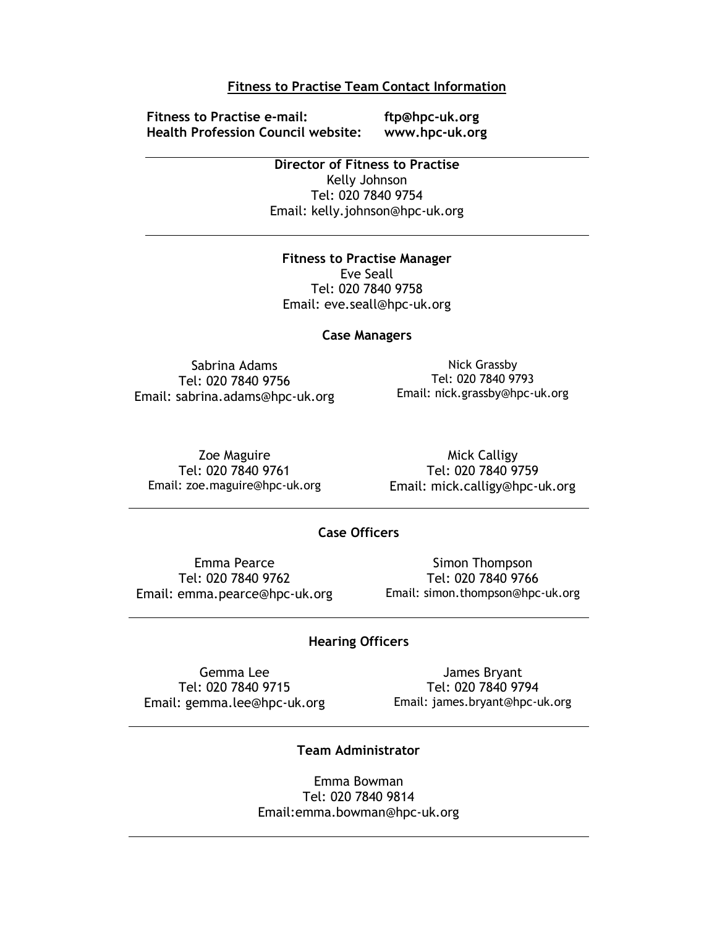## Fitness to Practise Team Contact Information

Fitness to Practise e-mail: ftp@hpc-uk.org Health Profession Council website: www.hpc-uk.org

Director of Fitness to Practise Kelly Johnson Tel: 020 7840 9754 Email: kelly.johnson@hpc-uk.org

Fitness to Practise Manager Eve Seall Tel: 020 7840 9758 Email: eve.seall@hpc-uk.org

### Case Managers

Sabrina Adams Tel: 020 7840 9756 Email: sabrina.adams@hpc-uk.org

Nick Grassby Tel: 020 7840 9793 Email: nick.grassby@hpc-uk.org

Zoe Maguire Tel: 020 7840 9761 Email: zoe.maguire@hpc-uk.org

Mick Calligy Tel: 020 7840 9759 Email: mick.calligy@hpc-uk.org

# Case Officers

Emma Pearce Tel: 020 7840 9762 Email: emma.pearce@hpc-uk.org

Simon Thompson Tel: 020 7840 9766 Email: simon.thompson@hpc-uk.org

### Hearing Officers

Gemma Lee Tel: 020 7840 9715 Email: gemma.lee@hpc-uk.org

James Bryant Tel: 020 7840 9794 Email: james.bryant@hpc-uk.org

# Team Administrator

Emma Bowman Tel: 020 7840 9814 Email:emma.bowman@hpc-uk.org